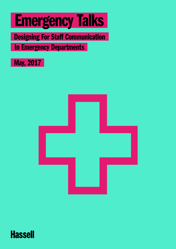## **Emergency Talks**

Designing For Staff Communication

In Emergency Departments

## May, 2017



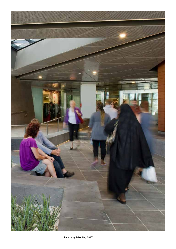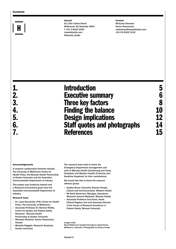#### **Contents**

 $\mathbf{H}$ 

Hassell 61 Little Collins Street Melbourne VIC Australia 3000 T +61 3 8102 3000 hassellstudio.com @hassell\_studio

Contact Michaela Sheahan Senior Researcher msheahan@hassellstudio.com +61 03 8102 3132

## 1. Introduction 5 2. Executive summary 6<br>3. Three key factors 6 3. Three key factors<br>4. Finding the balan 4. Finding the balance 10 5. **Design implications** 12<br>6. Staff quotes and photographs 14 6. Staff quotes and photographs<br>7. Seferences References 15

#### Acknowledgements

A research collaboration between Hassell, The University of Melbourne Centre for Health Policy, the Monash Health Partnership at Deakin University and the Australian Commonwealth Department of Industry

This project was funded by Hassell and a Research Connections grant from the Australian Commonwealth Department of Industry.

#### Research team

- Dr. Lucio Naccarella, PhD, Centre for Health Policy, The University of Melbourne
- Associate Professor Dr. Bernice Redley, Centre for Quality and Patient Safety Research - Monash Health Partnership at Deakin University
- Michaela Sheahan, Senior Researcher, Hassell
- Michelle Raggatt, Research Assistant, Deakin University

The research team wish to thank the Emergency Department management and staff at Monash Health (Dandenong and Casey Hospitals) and Western Health (Footscray and Sunshine Hospitals) for their contributions.

We would also like to thank the research advisory group:

- Suellen Bruce, Executive Director People, Culture and Communication, Western Health
- Mr Keith Stockman, Manager, Operations Research General Medicine, Monash Health
- Associate Professor Sue Evans, Head, Clinical Registry Unit and Associate Director of the Centre of Research Excellence in Patient Safety, Monash University

Image credit: Royal Melbourne Hospital Emergency Department, Melbourne, Australia. Photography by Dianna Snape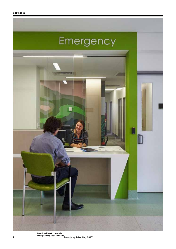

4 Emergency Talks, May 2017 Bussellton Hospital, Australia Photography by Peter Bennetts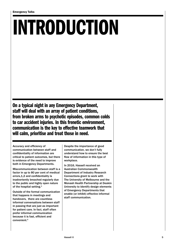# INTRODUCTION

On a typical night in any Emergency Department, staff will deal with an array of patient conditions, from broken arms to psychotic episodes, common colds to car accident injuries. In this frenetic environment, communication is the key to effective teamwork that will calm, prioritise and treat those in need.

Accuracy and efficiency of communication between staff and confidentiality of information are critical to patient outcomes, but there is evidence of the need to improve both in Emergency Departments.

Miscommunication between staff is a factor in up to 80 per cent of medical errors,1,2 and confidentiality is inadvertently breached regularly due to the public and highly open nature of the hospital setting.3

Outside of the formal communication that happens in meetings and handovers, there are countless informal conversations between staff in passing that are just as important for patient care. In fact, staff often prefer informal communication because it is fast, efficient and convenient.4

Despite the importance of good communication, we don't fully understand how to ensure the best flow of information in this type of workplace.

In 2016, Hassell received an Australian Commonwealth Department of Industry Research Connections grant to work with The University of Melbourne and the Monash Health Partnership at Deakin University to identify design elements of Emergency Departments that enable (or inhibit) effective informal staff communication.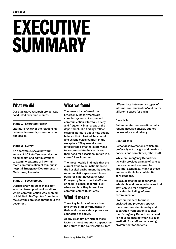## EXECUTIVE **SUMMARY**

## What we did

Our qualitative research project was conducted over nine months:

### Stage 1 - Literature review

Literature review of the relationship between teamwork, communication and design

### Stage 2 - Survey

An anonymous social network survey of 103 staff (nurses, doctors, allied health and administration) to examine patterns of informal team communication at four public hospital Emergency Departments in Melbourne, Australia

### Stage 3 - Focus groups

Discussions with 39 of these staff who had taken photos of locations where communication was enabled or inhibited. Staff quotes from these focus groups are used throughout this document.

### What we found

The research confirmed that Emergency Departments are complex systems of action and communication. Staff talk briefly and frequently in all areas of the department. The findings reflect existing literature about how people balance their physical, functional and psychological comfort in the workplace.5 They reveal some difficult trade-offs that staff make to accommodate their work and their need for occasional refuge in a stressful environment.

The most notable finding is that the current trend to de-institutionalise the hospital environment (by creating more hotel-like spaces and fewer barriers) is not necessarily what Emergency Department staff want or need - a sense of control over when and how they interact and communicate with patients.

## What it means

Three key factors influence how and where staff communicate in their workplace– safety, privacy and connection to activity.

At any given time, which of these factors is most important depends on the nature of the conversation. Staff

differentiate between two types of informal communication<sup>6</sup> and prefer different spaces for each:

### Case talk

Patient-related conversations, which require acoustic privacy, but not necessarily visual privacy.

### Comfort talk

Personal conversations, which are preferably out of sight and hearing of patients and sometimes, other staff.

While an Emergency Department typically provides a range of spaces that can be, and are, used for informal exchanges, many of these are not suitable for confidential conversations.

This suggests the need for small, adaptable and protected spaces that staff can use for a variety of activities, including informal communication.

Staff preferences for more enclosed and protected spaces that communicate hierarchy and separation from patients suggest that Emergency Departments need to find a balance between a clinical aesthetic for staff and a calming environment for patients.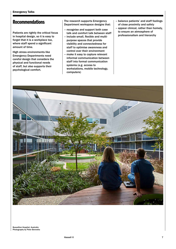### **Recommendations**

Patients are rightly the critical focus in hospital design, so it is easy to forget that it is a workplace too, where staff spend a significant amount of time.

High stress environments like Emergency Departments need careful design that considers the physical and functional needs of staff, but also supports their psychological comfort.

The research supports Emergency Department workspace designs that:

- recognise and support both case talk and comfort talk between staff
- include small, flexible and multipurpose spaces that provide visibility and connectedness for staff to optimise awareness and control over their environment
- make it easy to capture relevant informal communication between staff into formal communication systems (e.g. access to workstations, mobile technology, computers)
- balance patients' and staff feelings of close proximity and safety
- appear clinical, rather than homely, to ensure an atmosphere of professionalism and hierarchy



Bussellton Hospital, Australia Photography by Peter Bennetts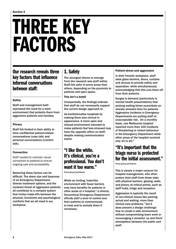## THREE KEY FACTORS

Our research reveals three key factors that influence informal conversations between staff:

### **Safety**

Staff and management both expressed the need for a work environment that protects them from aggressive patients and families.

### Privacy

Staff felt limited in their ability to have confidential patient-related conversations (case talk) and personal conversations (comfort talk).

### Connection

Staff needed to maintain visual connection to patients to ensure ongoing care and accessibility.

Balancing these factors can be difficult. The sheer size and busyness of an Emergency Department, diverse treatment options, and the constant threat of aggressive patients all contribute to a complex system that invites trade-offs between the physical, functional and psychological comforts that we all need in our workplace.

## 1. Safety

The strongest theme to emerge from the research was staff safety. Staff felt safer in some areas than others, depending on the proximity to patients and open space.

### This isn't a hotel!

Unexpectedly, the findings indicate that staff do not necessarily support the current design approach to

de-institutionalise hospitals by making them less clinical in appearance. A more open and relaxed environment intended to make patients feel less stressed may have the opposite effect on staff, despite making communication easier.

## "I like the white. It's clinical, you're a professional. You don't want it too warm."

Focus group participant

While an inviting, hotel-like environment with fewer barriers may have benefits for patients in other areas of a hospital, $3$  a clinical, hierarchical Emergency Department affords staff a level of control over their patients to communicate, to treat and to exclude them if necessary.

#### Patient stress and aggression

In their frenetic workplace, staff seek glass barriers, doors, curtains and alcoves to provide safety and separation, while simultaneously acknowledging that this cuts them off from their patients.

Surges in demand (particularly in mental health presentations) that prolong waiting times exacerbate an already stressful time for patients. Aggressive incidents in Emergency Departments are putting staff at unacceptable risk. On a monthly basis, one Melbourne hospital reported more than 100 incidents of threatening or violent behaviour in the Emergency Department while other areas of the hospital received only 10 to 20.<sup>6</sup>

## "It's important that the triage nurse is protected for the initial assessment."

Focus group participant

This is clearly a major concern for hospital management, who often protect their staff from these risks with physical barriers: glazing, walls and joinery at critical points, such as staff hubs, triage and reception.

Aggression is typically the result of non-clinical issues like parking, arrival and waiting, more than clinical care problems,7 but it does present a design challenge: how to create a safe environment without compromising team work or encouraging a stressful 'us and them' atmosphere between the public and staff.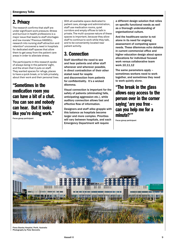## 2. Privacy

The research confirms that staff are under significant work pressure. Stress and burnout in health professions is a major issue that leads to staff shortages and low morale.<sup>8</sup> Previous HASSELL research into nursing staff attraction and retention<sup>9</sup> uncovered a need in hospitals for dedicated staff spaces that allow them to get away from the patient care areas in order to alleviate stress.

The participants in this research spoke of always being in the patients' sight, and the strain that it puts on staff. They wanted spaces for refuge, places to have a quick break, or to talk privately, about their work and their personal lives.

"Sometimes in the medication room you can have a bit of a chat. You can see and nobody can hear. But it looks like you're doing work."

Focus group participant

With all available space dedicated to patient care, storage and administration, staff use medication rooms, quiet corridors and empty offices to talk in private. The multi-purpose nature of these spaces is important, because they allow staff to continue to work while they talk, and to be conveniently located near patient activity.

## 3. Connection

Staff identified the need to see and hear patients and other staff whenever and wherever possible, in direct contradiction of their other stated need for respite and disconnection from patients for confidentiality. It's a wicked dilemma.

Visual connection is important for the safety of patients (eliminating falls, anticipating aggression etc.), while auditory connection allows fast and effective flow of information.

Designers and staff alike grapple with this balance as hospitals become larger and more complex. Priorities will vary between hospitals, and each Emergency Department will require

a different design solution that relies on specific functional needs as well as a thorough understanding of organisational culture.

And the healthcare sector is not alone in its need for ongoing assessment of competing space needs. These dilemmas echo debates in current commercial office and higher education design about space allocations for individual focused work versus collaborative team work.10,11,12

The same parameters apply – sometimes workers need to work together, and sometimes they need to work quietly alone.

## "The break in the glass allows easy access to the person over in the corner saying 'are you free can you help me for a minute?'"

Focus group participant



Fiona Stanley Hospital, Perth, Australia Photography by Peter Bennetts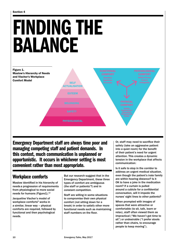## FINDING THE BALANCE



Emergency Department staff are always time poor and managing competing staff and patient demands. In this context, much communication is unplanned or opportunistic. It occurs in whichever setting is most convenient rather than most appropriate.

## Workplace comforts

Maslow identified in his hierarchy of needs a progression of requirements from physiological to more social needs for humans (Figure $1^{13}$ 

Jacqueline Vischer's model of workplace comforts<sup>5</sup> works in a similar, linear way – physical comforts are required, followed by functional and then psychological needs.

But our research suggest that in the Emergency Department, these three types of comfort are ambiguous (the staff or patients'?) and in constant competition.

Staff are willing in some situations to compromise their own physical comfort (not sitting down for a break) in order to satisfy other more functional needs such as maintaining staff numbers on the floor.

Or, staff may need to sacrifice their safety (take an aggressive patient into a quiet room) for the benefit of their patient's need for urgent attention. This creates a dynamic tension in the workplace that affects communication:

Is it safe to stop in the corridor to address an urgent medical situation, even though the patient's irate family are within hearing distance? Is it OK to have a joke in the medication room? If a curtain is pulled around a cubicle for a confidential conversation, will it impede the nurses' sight lines to other patients?

When prompted with images of spaces that were attractive or comfortable (to sit, talk, learn or relax), staff often viewed them as impractical ("We haven't got time to sit") or undesirable ("I prefer stools rather than chairs, to encourage people to keep moving").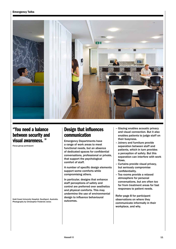

### "You need a balance between security and visual awareness. "

Focus group participant

Gold Coast University Hospital, Southport, Australia. Photography by Christopher Frederick Jones

## Design that influences communication

Emergency Departments have a range of work areas to meet functional needs, but an absence of dedicated spaces for confidential conversations, professional or private, that support the psychological comfort of staff.

A number of specific design elements support some comforts while compromising others.

In particular, designs that enhance staff perceptions of safety and control are preferred over aesthetics and physical comforts. This may undermine the use of environmental design to influence behavioural outcomes.

- Glazing enables acoustic privacy and visual connection. But it also enables patients to judge staff on their busyness.
- Joinery and furniture provide separation between staff and patients, which in turn provides a perception of safety. But this separation can interfere with work flows.
- Curtains provide visual privacy, but seriously compromise confidentiality.
- Tea rooms provide a relaxed atmosphere for personal conversations, but are often too far from treatment areas for fast responses to patient needs.

Refer page 8 for participant observations on where they communicate informally in their workplace, and why.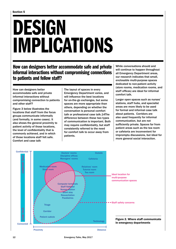## DESIGN IMPLICATIONS

## How can designers better accommodate safe and private informal interactions without compromising connections to patients and fellow staff?

How can designers better accommodate safe and private informal interactions without compromising connection to patients and other staff?

Figure 3 below illustrates the locations that staff from the focus groups communicate informally (and formally, in some cases). It also shows the general proximity to patient activity of those locations, the level of confidentiality that is commonly achieved, and in which of those locations staff felt safe. Comfort and case talk

The layout of spaces in every Emergency Department varies, and will influence the best locations for on-the-go exchanges, but some spaces are more appropriate than others, depending on whether the conversation is personal comfort talk or professional case talk.14The difference between these two types of communication is important. Both may require confidentiality, but staff consistently referred to the need for comfort talk to occur away from patients.

While conversations should and will continue to happen throughout all Emergency Department areas, our research indicates that small, enclosable multi-purpose spaces dedicated to non-patient activity (store rooms, medication rooms, and staff offices) are ideal for informal comfort talk.

Larger open spaces such as nurses' stations, staff hubs, and specialist areas are more likely to be used for formal and informal case talk about patients. Corridors are also used frequently for informal communication, but are not sufficiently private. Spaces far from patient areas such as the tea room or cafeteria are inconvenient for impromptu discussions, but ideal for more general social interaction.

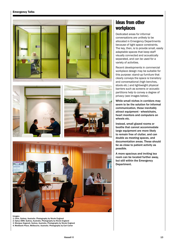#### Emergency Talks



#### Images:

1. Citrix, Sydney, Australia. Photography by Nicole England

- 2. Optus ABW, Sydney, Australia. Photography by Nicole England 3. Westpac Kogarah, Sydney, Australia. Photography by Nicole England
- 4. Medibank Place, Melbourne, Australia. Photography by Earl Carter

## Ideas from other workplaces

Dedicated areas for informal conversations are unlikely to be allocated in Emergency Departments because of tight space constraints. The key, then, is to provide small, easily adaptable spaces that keep staff visually connected and acoustically separated, and can be used for a variety of activities.

Recent developments in commercial workplace design may be suitable for this purpose: stand-up furniture that clearly conveys the space is transitory and conversational (high benches, stools etc.) and lightweight physical barriers such as screens or acoustic partitions help to convey a degree of privacy (see images below).

While small niches in corridors may seem to be the solution for informal communication, these inevitably attract equipment - wheelchairs, heart monitors and computers on wheels etc.

Instead, small glazed rooms or booths that cannot accommodate large equipment are more likely to remain free of clutter, and can double as meeting spaces, and documentation areas. These should be as close to patient activity as possible.

A more spacious and inviting tea room can be located further away, but still within the Emergency Department.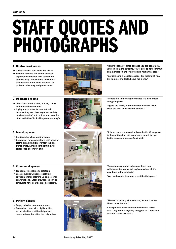## STAFF QUOTES AND PHOTOGRAPHS

#### 1. Central work areas

 $\rightarrow$  Nurse stations, staff hubs and desks  $\rightarrow$  Suitable for case talk due to acoustic separation combined with patient and staff visibility. Not suitable for comfort talk because of the need to appear to patients to be busy and professional.



"I like the ideas of glass because you are separating yourself from the patients. You're able to have informal communication and it's protected within that area."

"Barriers send a visual message - I'm looking at you, but I am not available. Leave me alone."

#### 2. Dedicated rooms

- $\rightarrow$  Medication/store rooms, offices, family and mental health rooms
- $\rightarrow$  Highly sought after for comfort talk because they are close to patient activity, can be closed off with a door, and used for other activities ("looks like you're working").



"People talk in the drug room a lot. It's my number one go-to place."

"I go to the family room or nay room where I can close the door and close the curtain."

#### 3. Transit spaces

 $\rightarrow$  Corridors, benches, waiting areas  $\rightarrow$  Convenient for conversations with passing staff but can inhibit movement in high traffic areas. Limited confidentiality for either case or comfort talk.

"A lot of our communication is on the fly. When you're in the corridor, that the opportunity to talk to your buddy or a senior nurses going past."

#### 4. Communal spaces

 $\rightarrow$  Tea room, tutorial room, cafeteria  $\rightarrow$  Less convenient, but more relaxed environment for catching up on personal conversations. Often crowded, so can be difficult to have confidential discussions.



"Sometimes you want to be away from your colleagues, but you've got to go outside or all the way down to the cafeteria."

"We need a quiet tearoom, a confidential space."

#### 5. Patient spaces

- $\rightarrow$  Empty cubicles, treatment rooms
- $\rightarrow$  Convenient to activity. Highly public, so not ideal for confidential patient conversations, but often the only option.



"There's no privacy with a curtain, as much as we like to think there is."

A few patients have commented on what we've said. They know everything that goes on. There's no division, it's only curtain."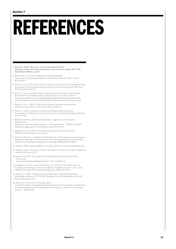#### Section 7

# REFERENCES

- 1. Knoll Inc., 2008. Open plan and enclosed private offices: Research review and recommendations. www.knoll.com/media/878/738/ OpenClosed\_Offices\_wp.pdf
- 2.Glymph DC, et al. 2015. Healthcare Utilizing Deliberate Discussion Linking Events (HUDDLE): A Systematic Review. AANA J. 2015 83(3):183-8.
- 3. Rabol LI, et al.. 2011. Descriptions of verbal communication errors between staff. An analysis of 84 root cause analysis-reports from Danish hospitals. BMJ Qual Saf. 2011;20(3):268-74.
- 4. Ulrich, R., Quan, Zimring, Jospeh, Choudhary. 2004.The Role of the Physical Environment in the Hospital of the 21st Century: A Once-in-a-Lifetime Opportunity. Website at www.healthdesign.org/sites/default/files/Role%20 Physical%20Environ%20in%20the%2021st%20Century%20 Hospital\_0.pdf
- 5. Safran C, et al., 1999. Online medical records: a decade of experience. Methods of Information in Medicine. 38(4/5):308-12.
- 6. Vischer, J. 2008. Towards an environmental psychology workspace: How people are affected by environments for work. Architectural Science Review. 51:2, 97-108.
- 7. Worksafe Victoria, 2008. Health Services Aggression in Emergency Departments. Website at www.worksafe.vic.gov.au/\_\_data/assets/pdf\_ file/0004/14449/ HSS0028\_Aggression\_in\_emergency\_departments.pdf
- 8. Design Council UK, 2014. Improving patient experience in A&E 2014. Website at www.designcouncil.org.uk
- 9. Centre for Workforce Intelligence (2014) Horizon 2035 International responses to big picture challenges. Website at www.cfwi.org.uk/publications/horizon-2035 international-responses-tobig-picture-challenges/@@publication-detail
- 10. Hassell, 2016.. Design Matters for Nurses. Website at www.hassellstudio.com
- 11. Maxwell, 2013. The Future of Work, Australian Financial Review Boss Magazine, February 2013, pp 26-29
- 12. Haynes, B. 2007. The Impact of the Behavioural Environment on Office **Productivity** 
	- Journal of Facilities Management Vol. 5 No.3 pp158-171
- 13. Gorgievski, van der Voordt, van Herpen, van Akkeren, 2010. After the Fire: New Ways of Working in an Academic Setting. Faciltities, Vol 28, no.3/4. 2010. Pp206-22 Website atwww.emeraldinsight.com/0263-2772.htm
- 14. Maslow, A. 1943. A Theory of Human Motivation, Originally Published in Psychological Review, 50, 370-396. Website at http://psychclassics.yorku.ca/ Maslow/motivation.htm
- 15. Dean, M., R. Gill, and J.B. Barbour, 2016. "Let's Sit Forward": Investigating Interprofessional Communication, Collaboration, Professional Roles, and Physical Space at EmergiCare. Health Communication, 31(12): p. 1506-1516.